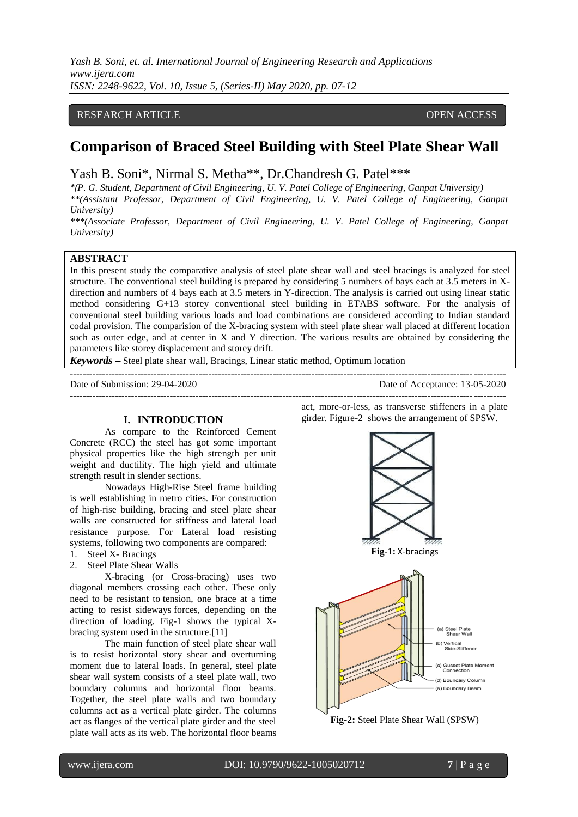*Yash B. Soni, et. al. International Journal of Engineering Research and Applications www.ijera.com ISSN: 2248-9622, Vol. 10, Issue 5, (Series-II) May 2020, pp. 07-12*

## RESEARCH ARTICLE **CONSERVERS** OPEN ACCESS

# **Comparison of Braced Steel Building with Steel Plate Shear Wall**

Yash B. Soni\*, Nirmal S. Metha\*\*, Dr.Chandresh G. Patel\*\*\*

*\*(P. G. Student, Department of Civil Engineering, U. V. Patel College of Engineering, Ganpat University)*

*\*\*(Assistant Professor, Department of Civil Engineering, U. V. Patel College of Engineering, Ganpat University)*

*\*\*\*(Associate Professor, Department of Civil Engineering, U. V. Patel College of Engineering, Ganpat University)*

## **ABSTRACT**

In this present study the comparative analysis of steel plate shear wall and steel bracings is analyzed for steel structure. The conventional steel building is prepared by considering 5 numbers of bays each at 3.5 meters in Xdirection and numbers of 4 bays each at 3.5 meters in Y-direction. The analysis is carried out using linear static method considering G+13 storey conventional steel building in ETABS software. For the analysis of conventional steel building various loads and load combinations are considered according to Indian standard codal provision. The comparision of the X-bracing system with steel plate shear wall placed at different location such as outer edge, and at center in X and Y direction. The various results are obtained by considering the parameters like storey displacement and storey drift.

---------------------------------------------------------------------------------------------------------------------------------------

*Keywords* **–** Steel plate shear wall, Bracings, Linear static method, Optimum location

Date of Submission: 29-04-2020 Date of Acceptance: 13-05-2020

---------------------------------------------------------------------------------------------------------------------------------------

#### **I. INTRODUCTION**

As compare to the Reinforced Cement Concrete (RCC) the steel has got some important physical properties like the high strength per unit weight and ductility. The high yield and ultimate strength result in slender sections.

Nowadays High-Rise Steel frame building is well establishing in metro cities. For construction of high-rise building, bracing and steel plate shear walls are constructed for stiffness and lateral load resistance purpose. For Lateral load resisting systems, following two components are compared:

- 1. Steel X- Bracings
- 2. Steel Plate Shear Walls

X-bracing (or Cross-bracing) uses two diagonal members crossing each other. These only need to be resistant to [tension,](https://www.designingbuildings.co.uk/wiki/Tension) one brace at a time acting to resist sideways [forces,](https://www.designingbuildings.co.uk/wiki/Force) depending on the direction of loading. Fig-1 shows the typical Xbracing system used in the structure.[11]

The main function of steel plate shear wall is to resist horizontal story shear and overturning moment due to lateral loads. In general, steel plate shear wall system consists of a steel plate wall, two boundary columns and horizontal floor beams. Together, the steel plate walls and two boundary columns act as a vertical plate girder. The columns act as flanges of the vertical plate girder and the steel plate wall acts as its web. The horizontal floor beams

act, more-or-less, as transverse stiffeners in a plate girder. Figure-2 shows the arrangement of SPSW.



**Fig-2:** Steel Plate Shear Wall (SPSW)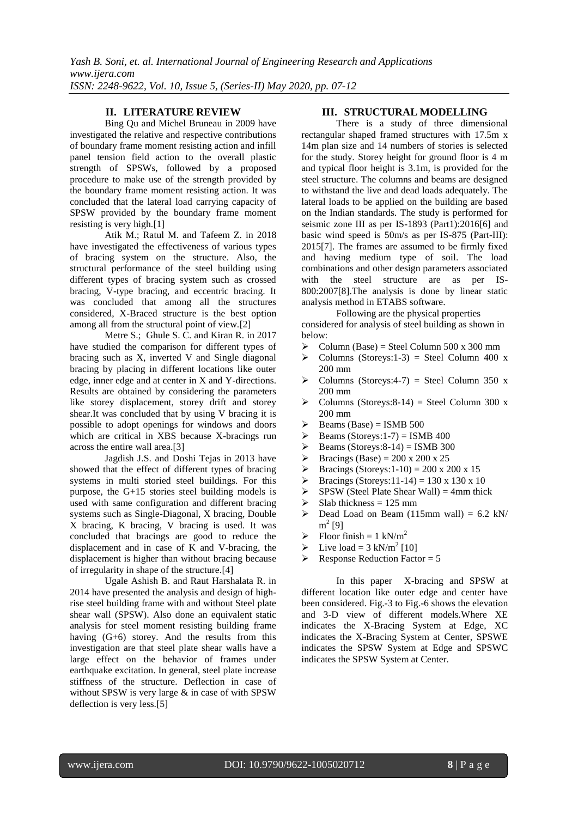#### **II. LITERATURE REVIEW**

[Bing Qu and Michel Bruneau](../../../Krishna/Desktop/Dessertation/Literature/EQ26.pdf) in 2009 have investigated the relative and respective contributions of boundary frame moment resisting action and infill panel tension field action to the overall plastic strength of SPSWs, followed by a proposed procedure to make use of the strength provided by the boundary frame moment resisting action. It was concluded that the lateral load carrying capacity of SPSW provided by the boundary frame moment resisting is very high.[1]

[Atik M.; Ratul M. and Tafeem Z. i](../../../Krishna/Desktop/Dessertation/Literature/EQ26.pdf)n 2018 have investigated the effectiveness of various types of bracing system on the structure. Also, the structural performance of the steel building using different types of bracing system such as crossed bracing, V-type bracing, and eccentric bracing. It was concluded that among all the structures considered, X-Braced structure is the best option among all from the structural point of view.[2]

[Metre S.; Ghule](../../../Krishna/Desktop/Dessertation/Literature/EQ26.pdf) [S. C. and Kiran R. i](../../../Krishna/Desktop/Dessertation/Literature/EQ26.pdf)n 2017 have studied the comparison for different types of bracing such as X, inverted V and Single diagonal bracing by placing in different locations like outer edge, inner edge and at center in X and Y-directions. Results are obtained by considering the parameters like storey displacement, storey drift and storey shear.It was concluded that by using V bracing it is possible to adopt openings for windows and doors which are critical in XBS because X-bracings run across the entire wall area.[3]

Jagdish J.S. and Doshi Tejas in 2013 have showed that the effect of different types of bracing systems in multi storied steel buildings. For this purpose, the G+15 stories steel building models is used with same configuration and different bracing systems such as Single-Diagonal, X bracing, Double X bracing, K bracing, V bracing is used. It was concluded that bracings are good to reduce the displacement and in case of K and V-bracing, the displacement is higher than without bracing because of irregularity in shape of the structure.[4]

Ugale Ashish B. and Raut Harshalata R. in 2014 have presented the analysis and design of highrise steel building frame with and without Steel plate shear wall (SPSW). Also done an equivalent static analysis for steel moment resisting building frame having (G+6) storey. And the results from this investigation are that steel plate shear walls have a large effect on the behavior of frames under earthquake excitation. In general, steel plate increase stiffness of the structure. Deflection in case of without SPSW is very large & in case of with SPSW deflection is very less.[5]

#### **III. STRUCTURAL MODELLING**

There is a study of three dimensional rectangular shaped framed structures with 17.5m x 14m plan size and 14 numbers of stories is selected for the study. Storey height for ground floor is 4 m and typical floor height is 3.1m, is provided for the steel structure. The columns and beams are designed to withstand the live and dead loads adequately. The lateral loads to be applied on the building are based on the Indian standards. The study is performed for seismic zone III as per IS-1893 (Part1):2016[6] and basic wind speed is 50m/s as per IS-875 (Part-III): 2015[7]. The frames are assumed to be firmly fixed and having medium type of soil. The load combinations and other design parameters associated with the steel structure are as per IS-800:2007[8].The analysis is done by linear static analysis method in ETABS software.

Following are the physical properties

considered for analysis of steel building as shown in below:

- $\triangleright$  Column (Base) = Steel Column 500 x 300 mm
- $\triangleright$  Columns (Storeys:1-3) = Steel Column 400 x 200 mm
- $\triangleright$  Columns (Storeys: 4-7) = Steel Column 350 x 200 mm
- $\triangleright$  Columns (Storeys: 8-14) = Steel Column 300 x 200 mm
- $\triangleright$  Beams (Base) = ISMB 500
- $\triangleright$  Beams (Storeys: 1-7) = ISMB 400
- Beams (Storeys: 8-14) = ISMB 300<br>
Bracings (Base) = 200 x 200 x 25
- Bracings (Base) =  $200 \times 200 \times 25$
- P Bracings (Storeys:  $1-10$ ) = 200 x 200 x 15
- SPENDER STRAIN SERVICES SPENDING SPENDING SPENDING SPENDING SPENDING SPENDING SPENDING SPENDING SPENDING SPENDING SPENDING SPENDING SPENDING SPENDING SPENDING SPENDING SPENDING SPENDING SPENDING SPENDING SPENDING SPENDING
- $SPSW$  (Steel Plate Shear Wall) = 4mm thick
- $\triangleright$  Slab thickness = 125 mm
- $\triangleright$  Dead Load on Beam (115mm wall) = 6.2 kN/ m 2 [9]
- $\triangleright$  Floor finish = 1 kN/m<sup>2</sup>
- $\triangleright$  Live load = 3 kN/m<sup>2</sup> [10]
- $\triangleright$  Response Reduction Factor = 5

In this paper X-bracing and SPSW at different location like outer edge and center have been considered. Fig.-3 to Fig.-6 shows the elevation and 3-D view of different models.Where XE indicates the X-Bracing System at Edge, XC indicates the X-Bracing System at Center, SPSWE indicates the SPSW System at Edge and SPSWC indicates the SPSW System at Center.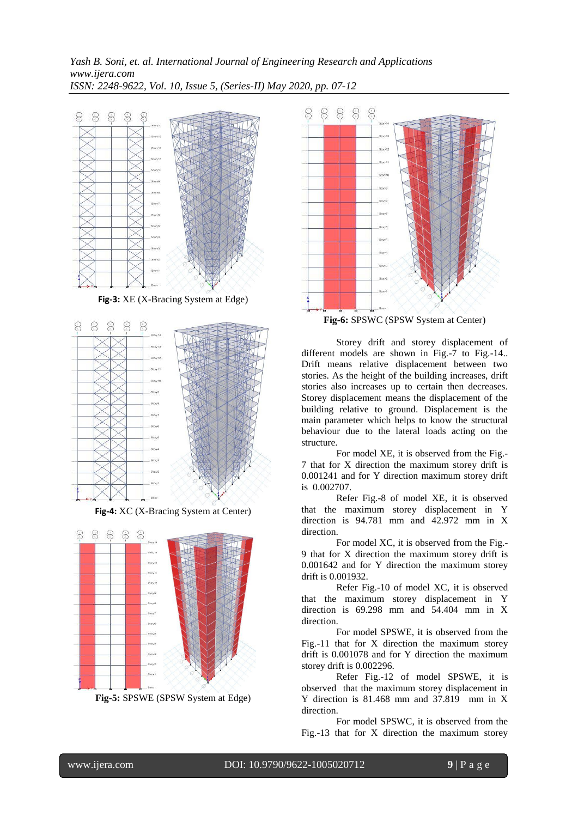*Yash B. Soni, et. al. International Journal of Engineering Research and Applications www.ijera.com ISSN: 2248-9622, Vol. 10, Issue 5, (Series-II) May 2020, pp. 07-12*



**Fig-3:** XE (X-Bracing System at Edge)



**Fig-4:** XC (X-Bracing System at Center)



**Fig-5:** SPSWE (SPSW System at Edge)



**Fig-6:** SPSWC (SPSW System at Center)

Storey drift and storey displacement of different models are shown in Fig.-7 to Fig.-14.. Drift means relative displacement between two stories. As the height of the building increases, drift stories also increases up to certain then decreases. Storey displacement means the displacement of the building relative to ground. Displacement is the main parameter which helps to know the structural behaviour due to the lateral loads acting on the structure.

For model XE, it is observed from the Fig.- 7 that for X direction the maximum storey drift is 0.001241 and for Y direction maximum storey drift is 0.002707.

Refer Fig.-8 of model XE, it is observed that the maximum storey displacement in Y direction is 94.781 mm and 42.972 mm in X direction.

For model XC, it is observed from the Fig.- 9 that for X direction the maximum storey drift is 0.001642 and for Y direction the maximum storey drift is 0.001932.

Refer Fig.-10 of model XC, it is observed that the maximum storey displacement in Y direction is 69.298 mm and 54.404 mm in X direction.

For model SPSWE, it is observed from the Fig.-11 that for X direction the maximum storey drift is 0.001078 and for Y direction the maximum storey drift is 0.002296.

Refer Fig.-12 of model SPSWE, it is observed that the maximum storey displacement in Y direction is 81.468 mm and 37.819 mm in X direction.

For model SPSWC, it is observed from the Fig.-13 that for X direction the maximum storey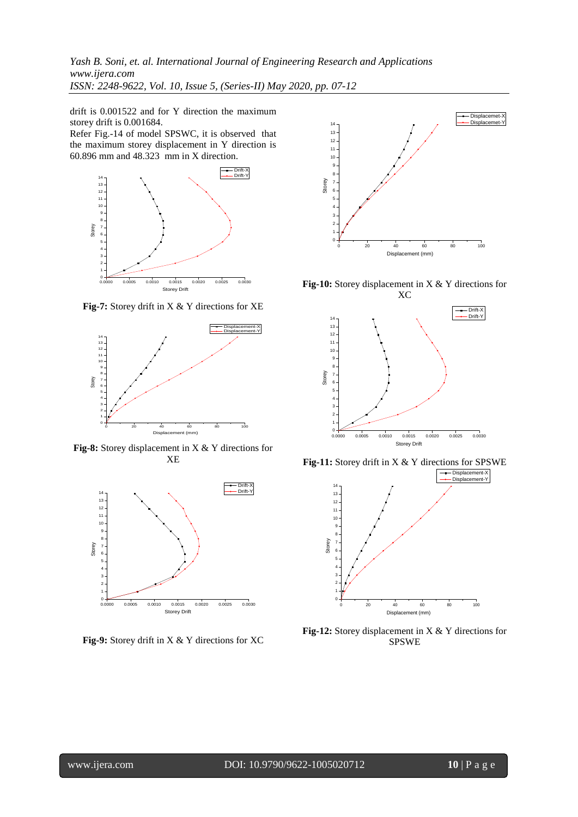*Yash B. Soni, et. al. International Journal of Engineering Research and Applications www.ijera.com ISSN: 2248-9622, Vol. 10, Issue 5, (Series-II) May 2020, pp. 07-12*

drift is 0.001522 and for Y direction the maximum storey drift is 0.001684.

Refer Fig.-14 of model SPSWC, it is observed that the maximum storey displacement in Y direction is 60.896 mm and 48.323 mm in X direction.



**Fig-7:** Storey drift in X & Y directions for XE



**Fig-8:** Storey displacement in X & Y directions for XE



**Fig-9:** Storey drift in X & Y directions for XC



**Fig-10:** Storey displacement in X & Y directions for



**Fig-11:** Storey drift in X & Y directions for SPSWE



**Fig-12:** Storey displacement in X & Y directions for SPSWE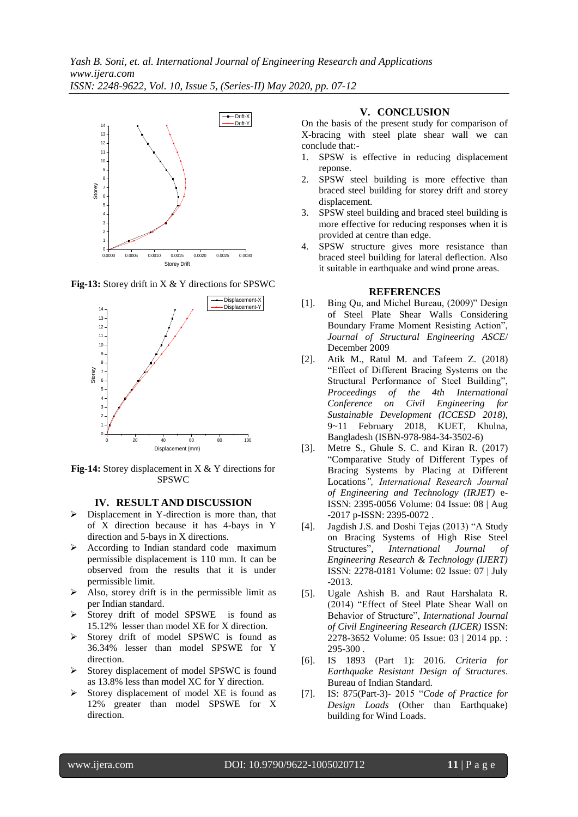

**Fig-13:** Storey drift in X & Y directions for SPSWC



**Fig-14:** Storey displacement in X & Y directions for SPSWC

#### **IV. RESULT AND DISCUSSION**

- $\triangleright$  Displacement in Y-direction is more than, that of X direction because it has 4-bays in Y direction and 5-bays in X directions.
- $\triangleright$  According to Indian standard code maximum permissible displacement is 110 mm. It can be observed from the results that it is under permissible limit.
- $\triangleright$  Also, storey drift is in the permissible limit as per Indian standard.
- Storey drift of model SPSWE is found as 15.12% lesser than model XE for X direction.
- Storey drift of model SPSWC is found as 36.34% lesser than model SPSWE for Y direction.
- $\triangleright$  Storey displacement of model SPSWC is found as 13.8% less than model XC for Y direction.
- $\triangleright$  Storey displacement of model XE is found as 12% greater than model SPSWE for X direction.

#### **V. CONCLUSION**

On the basis of the present study for comparison of X-bracing with steel plate shear wall we can conclude that:-

- 1. SPSW is effective in reducing displacement reponse.
- 2. SPSW steel building is more effective than braced steel building for storey drift and storey displacement.
- 3. SPSW steel building and braced steel building is more effective for reducing responses when it is provided at centre than edge.
- 4. SPSW structure gives more resistance than braced steel building for lateral deflection. Also it suitable in earthquake and wind prone areas.

### **REFERENCES**

- [1]. Bing Qu, and Michel Bureau, (2009)" Design of Steel Plate Shear Walls Considering Boundary Frame Moment Resisting Action", *Journal of Structural Engineering ASCE*/ December 2009
- [2]. Atik M., Ratul M. and Tafeem Z. (2018) "Effect of Different Bracing Systems on the Structural Performance of Steel Building", *Proceedings of the 4th International Conference on Civil Engineering for Sustainable Development (ICCESD 2018),* 9~11 February 2018, KUET, Khulna, Bangladesh (ISBN-978-984-34-3502-6)
- [3]. Metre S., Ghule S. C. and Kiran R. (2017) "Comparative Study of Different Types of Bracing Systems by Placing at Different Locations*", International Research Journal of Engineering and Technology (IRJET)* e-ISSN: 2395-0056 Volume: 04 Issue: 08 | Aug -2017 p-ISSN: 2395-0072 .
- [4]. Jagdish J.S. and Doshi Tejas (2013) "A Study on Bracing Systems of High Rise Steel Structures"*, International Journal of Engineering Research & Technology (IJERT)* ISSN: 2278-0181 Volume: 02 Issue: 07 | July -2013.
- [5]. Ugale Ashish B. and Raut Harshalata R. (2014) "Effect of Steel Plate Shear Wall on Behavior of Structure", *International Journal of Civil Engineering Research (IJCER)* ISSN: 2278-3652 Volume: 05 Issue: 03 | 2014 pp. : 295-300 .
- [6]. IS 1893 (Part 1): 2016. *Criteria for Earthquake Resistant Design of Structures*. Bureau of Indian Standard.
- [7]. IS: 875(Part-3)- 2015 "*Code of Practice for Design Loads* (Other than Earthquake) building for Wind Loads.